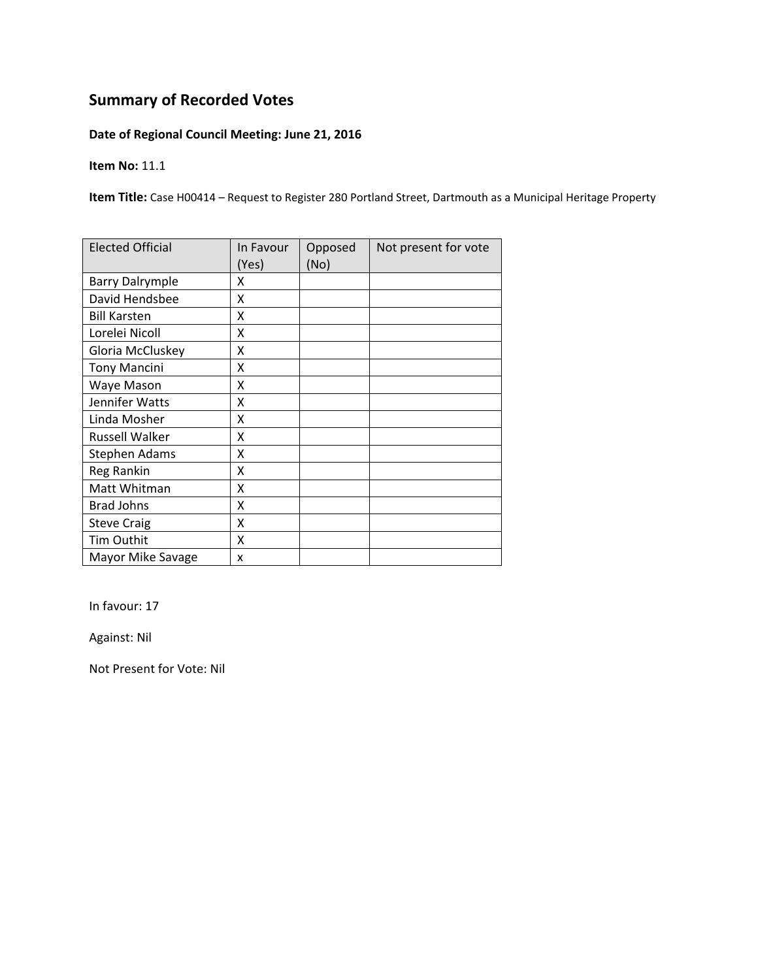### **Date of Regional Council Meeting: June 21, 2016**

**Item No:** 11.1

**Item Title:** Case H00414 – Request to Register 280 Portland Street, Dartmouth as a Municipal Heritage Property

| <b>Elected Official</b> | In Favour<br>(Yes) | Opposed<br>(No) | Not present for vote |
|-------------------------|--------------------|-----------------|----------------------|
| <b>Barry Dalrymple</b>  | x                  |                 |                      |
| David Hendsbee          | X                  |                 |                      |
| <b>Bill Karsten</b>     | X                  |                 |                      |
| Lorelei Nicoll          | Χ                  |                 |                      |
| Gloria McCluskey        | Χ                  |                 |                      |
| <b>Tony Mancini</b>     | Χ                  |                 |                      |
| Waye Mason              | X                  |                 |                      |
| Jennifer Watts          | X                  |                 |                      |
| Linda Mosher            | X                  |                 |                      |
| <b>Russell Walker</b>   | X                  |                 |                      |
| <b>Stephen Adams</b>    | Χ                  |                 |                      |
| Reg Rankin              | x                  |                 |                      |
| Matt Whitman            | x                  |                 |                      |
| <b>Brad Johns</b>       | X                  |                 |                      |
| <b>Steve Craig</b>      | X                  |                 |                      |
| <b>Tim Outhit</b>       | X                  |                 |                      |
| Mayor Mike Savage       | X                  |                 |                      |

In favour: 17

Against: Nil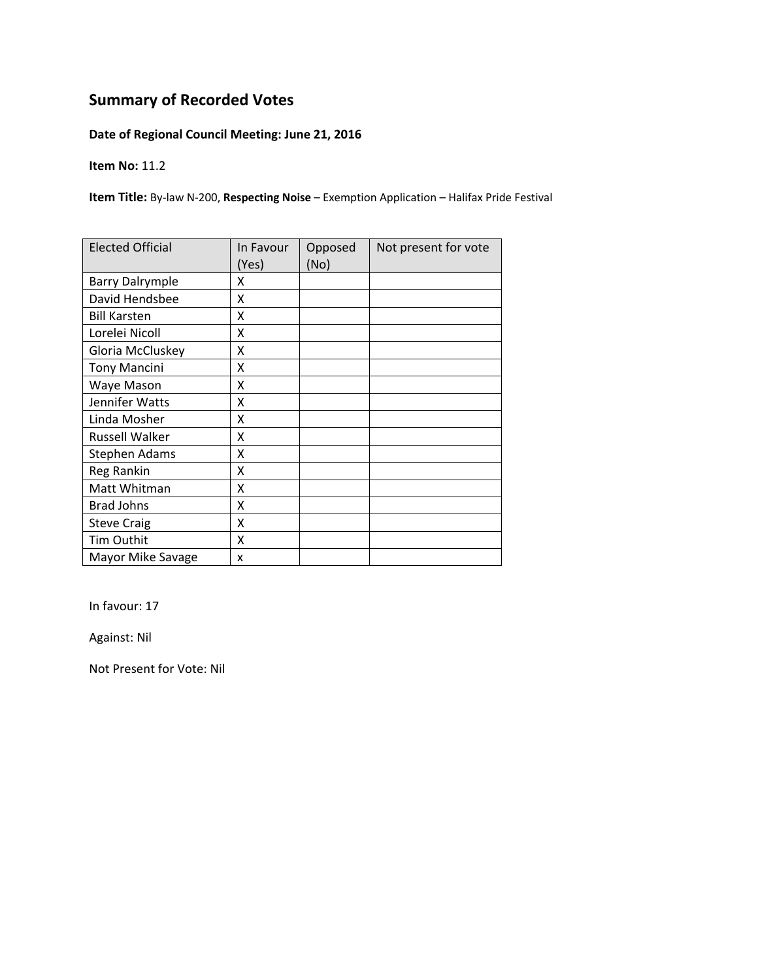### **Date of Regional Council Meeting: June 21, 2016**

**Item No:** 11.2

**Item Title:** By‐law N‐200, **Respecting Noise** – Exemption Application – Halifax Pride Festival

| <b>Elected Official</b> | In Favour<br>(Yes) | Opposed<br>(No) | Not present for vote |
|-------------------------|--------------------|-----------------|----------------------|
| <b>Barry Dalrymple</b>  | x                  |                 |                      |
| David Hendsbee          | X                  |                 |                      |
| <b>Bill Karsten</b>     | X                  |                 |                      |
| Lorelei Nicoll          | X                  |                 |                      |
| Gloria McCluskey        | Χ                  |                 |                      |
| <b>Tony Mancini</b>     | Χ                  |                 |                      |
| Waye Mason              | Χ                  |                 |                      |
| Jennifer Watts          | Χ                  |                 |                      |
| Linda Mosher            | X                  |                 |                      |
| <b>Russell Walker</b>   | Χ                  |                 |                      |
| <b>Stephen Adams</b>    | x                  |                 |                      |
| Reg Rankin              | X                  |                 |                      |
| Matt Whitman            | X                  |                 |                      |
| <b>Brad Johns</b>       | X                  |                 |                      |
| <b>Steve Craig</b>      | X                  |                 |                      |
| <b>Tim Outhit</b>       | X                  |                 |                      |
| Mayor Mike Savage       | X                  |                 |                      |

In favour: 17

Against: Nil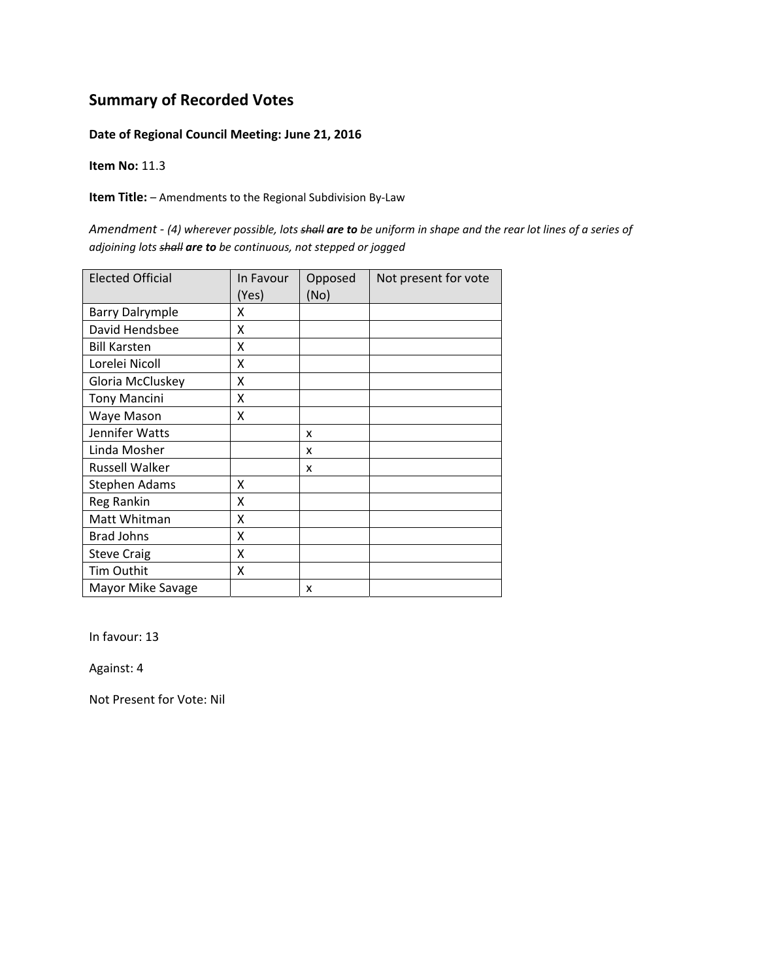#### **Date of Regional Council Meeting: June 21, 2016**

**Item No:** 11.3

**Item Title:** – Amendments to the Regional Subdivision By‐Law

Amendment - (4) wherever possible, lots shall are to be uniform in shape and the rear lot lines of a series of *adjoining lots shall are to be continuous, not stepped or jogged*

| <b>Elected Official</b> | In Favour<br>(Yes) | Opposed<br>(No) | Not present for vote |
|-------------------------|--------------------|-----------------|----------------------|
| <b>Barry Dalrymple</b>  | x                  |                 |                      |
| David Hendsbee          | X                  |                 |                      |
| <b>Bill Karsten</b>     | X                  |                 |                      |
| Lorelei Nicoll          | X                  |                 |                      |
| Gloria McCluskey        | X                  |                 |                      |
| <b>Tony Mancini</b>     | X                  |                 |                      |
| Waye Mason              | X                  |                 |                      |
| Jennifer Watts          |                    | X               |                      |
| Linda Mosher            |                    | x               |                      |
| Russell Walker          |                    | x               |                      |
| <b>Stephen Adams</b>    | x                  |                 |                      |
| Reg Rankin              | Χ                  |                 |                      |
| Matt Whitman            | X                  |                 |                      |
| <b>Brad Johns</b>       | X                  |                 |                      |
| <b>Steve Craig</b>      | X                  |                 |                      |
| <b>Tim Outhit</b>       | X                  |                 |                      |
| Mayor Mike Savage       |                    | x               |                      |

In favour: 13

Against: 4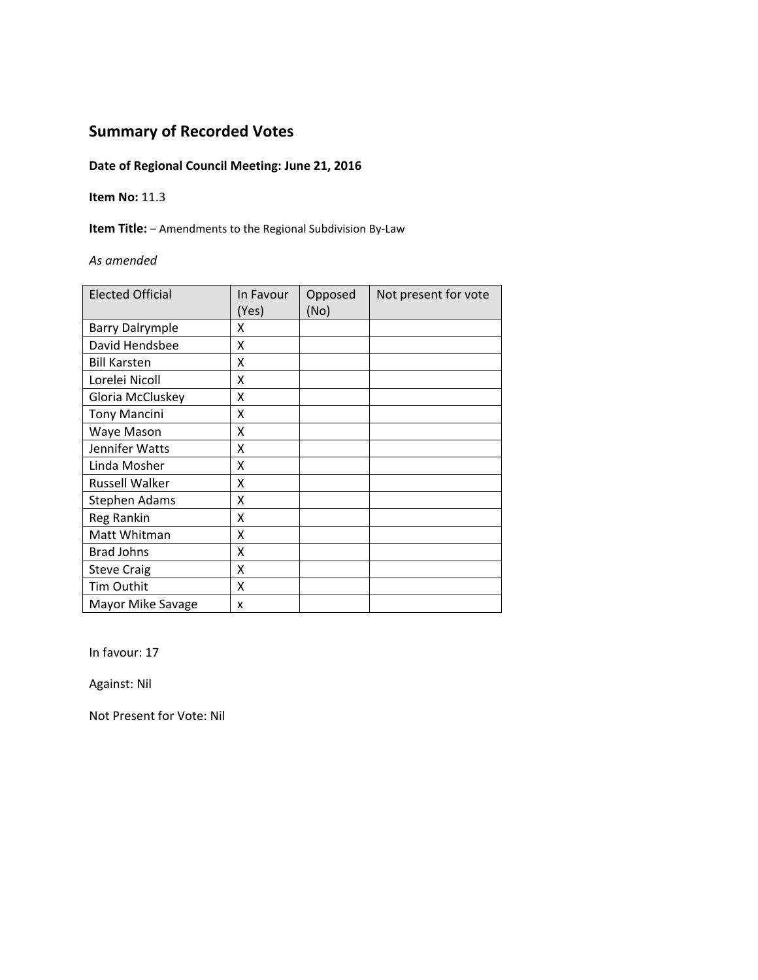### **Date of Regional Council Meeting: June 21, 2016**

#### **Item No:** 11.3

**Item Title:** – Amendments to the Regional Subdivision By‐Law

#### *As amended*

| <b>Elected Official</b> | In Favour<br>(Yes) | Opposed<br>(No) | Not present for vote |
|-------------------------|--------------------|-----------------|----------------------|
| <b>Barry Dalrymple</b>  | x                  |                 |                      |
| David Hendsbee          | x                  |                 |                      |
| <b>Bill Karsten</b>     | x                  |                 |                      |
| Lorelei Nicoll          | X                  |                 |                      |
| Gloria McCluskey        | X                  |                 |                      |
| <b>Tony Mancini</b>     | X                  |                 |                      |
| Waye Mason              | Χ                  |                 |                      |
| Jennifer Watts          | X                  |                 |                      |
| Linda Mosher            | X                  |                 |                      |
| <b>Russell Walker</b>   | X                  |                 |                      |
| <b>Stephen Adams</b>    | X                  |                 |                      |
| Reg Rankin              | Χ                  |                 |                      |
| Matt Whitman            | X                  |                 |                      |
| <b>Brad Johns</b>       | χ                  |                 |                      |
| <b>Steve Craig</b>      | χ                  |                 |                      |
| Tim Outhit              | Χ                  |                 |                      |
| Mayor Mike Savage       | x                  |                 |                      |

In favour: 17

Against: Nil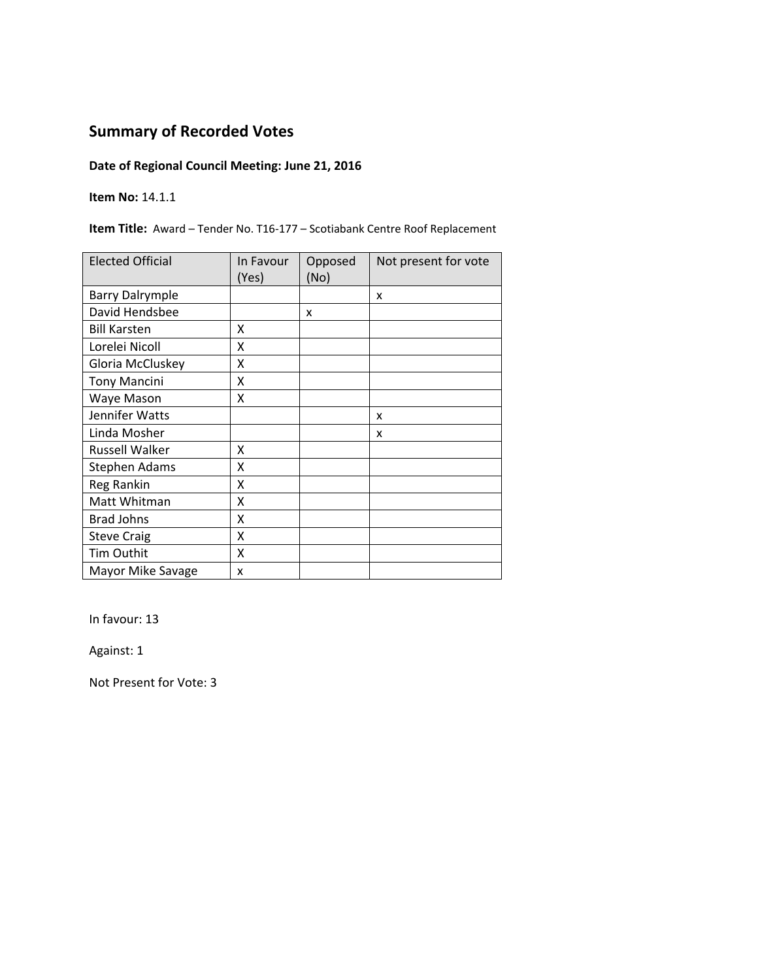### **Date of Regional Council Meeting: June 21, 2016**

**Item No:** 14.1.1

**Item Title:** Award – Tender No. T16‐177 – Scotiabank Centre Roof Replacement

| <b>Elected Official</b> | In Favour<br>(Yes) | Opposed<br>(No) | Not present for vote |
|-------------------------|--------------------|-----------------|----------------------|
| <b>Barry Dalrymple</b>  |                    |                 | X                    |
| David Hendsbee          |                    | x               |                      |
| <b>Bill Karsten</b>     | x                  |                 |                      |
| Lorelei Nicoll          | X                  |                 |                      |
| Gloria McCluskey        | X                  |                 |                      |
| <b>Tony Mancini</b>     | Χ                  |                 |                      |
| Waye Mason              | Χ                  |                 |                      |
| Jennifer Watts          |                    |                 | x                    |
| Linda Mosher            |                    |                 | x                    |
| Russell Walker          | X                  |                 |                      |
| <b>Stephen Adams</b>    | X                  |                 |                      |
| Reg Rankin              | X                  |                 |                      |
| Matt Whitman            | X                  |                 |                      |
| <b>Brad Johns</b>       | X                  |                 |                      |
| <b>Steve Craig</b>      | X                  |                 |                      |
| Tim Outhit              | X                  |                 |                      |
| Mayor Mike Savage       | x                  |                 |                      |

In favour: 13

Against: 1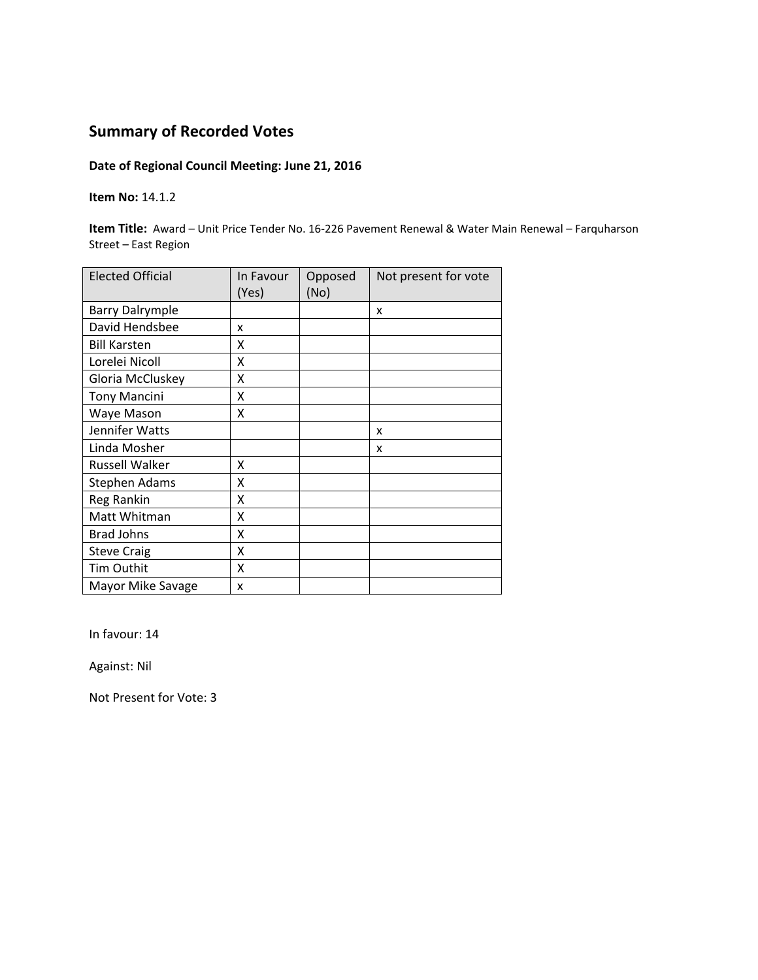### **Date of Regional Council Meeting: June 21, 2016**

#### **Item No:** 14.1.2

**Item Title:** Award – Unit Price Tender No. 16‐226 Pavement Renewal & Water Main Renewal – Farquharson Street – East Region

| <b>Elected Official</b> | In Favour<br>(Yes) | Opposed<br>(No) | Not present for vote |
|-------------------------|--------------------|-----------------|----------------------|
| <b>Barry Dalrymple</b>  |                    |                 | X                    |
| David Hendsbee          | x                  |                 |                      |
| <b>Bill Karsten</b>     | x                  |                 |                      |
| Lorelei Nicoll          | Χ                  |                 |                      |
| Gloria McCluskey        | Χ                  |                 |                      |
| <b>Tony Mancini</b>     | Χ                  |                 |                      |
| Waye Mason              | Χ                  |                 |                      |
| Jennifer Watts          |                    |                 | x                    |
| Linda Mosher            |                    |                 | x                    |
| <b>Russell Walker</b>   | x                  |                 |                      |
| <b>Stephen Adams</b>    | X                  |                 |                      |
| Reg Rankin              | X                  |                 |                      |
| Matt Whitman            | X                  |                 |                      |
| <b>Brad Johns</b>       | X                  |                 |                      |
| <b>Steve Craig</b>      | X                  |                 |                      |
| Tim Outhit              | X                  |                 |                      |
| Mayor Mike Savage       | x                  |                 |                      |

In favour: 14

Against: Nil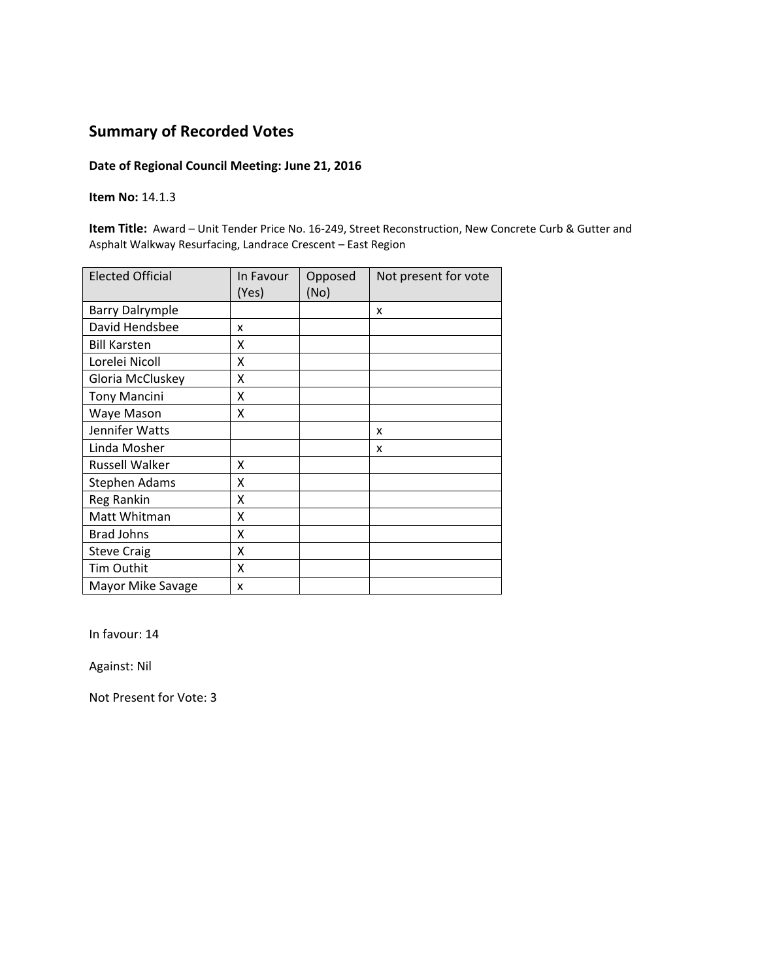#### **Date of Regional Council Meeting: June 21, 2016**

#### **Item No:** 14.1.3

**Item Title:** Award – Unit Tender Price No. 16‐249, Street Reconstruction, New Concrete Curb & Gutter and Asphalt Walkway Resurfacing, Landrace Crescent – East Region

| <b>Elected Official</b> | In Favour<br>(Yes) | Opposed<br>(No) | Not present for vote |
|-------------------------|--------------------|-----------------|----------------------|
| <b>Barry Dalrymple</b>  |                    |                 | x                    |
| David Hendsbee          | x                  |                 |                      |
| <b>Bill Karsten</b>     | χ                  |                 |                      |
| Lorelei Nicoll          | X                  |                 |                      |
| Gloria McCluskey        | X                  |                 |                      |
| <b>Tony Mancini</b>     | Χ                  |                 |                      |
| Waye Mason              | X                  |                 |                      |
| Jennifer Watts          |                    |                 | x                    |
| Linda Mosher            |                    |                 | x                    |
| <b>Russell Walker</b>   | Χ                  |                 |                      |
| <b>Stephen Adams</b>    | X                  |                 |                      |
| Reg Rankin              | X                  |                 |                      |
| Matt Whitman            | X                  |                 |                      |
| <b>Brad Johns</b>       | X                  |                 |                      |
| <b>Steve Craig</b>      | X                  |                 |                      |
| Tim Outhit              | X                  |                 |                      |
| Mayor Mike Savage       | x                  |                 |                      |

In favour: 14

Against: Nil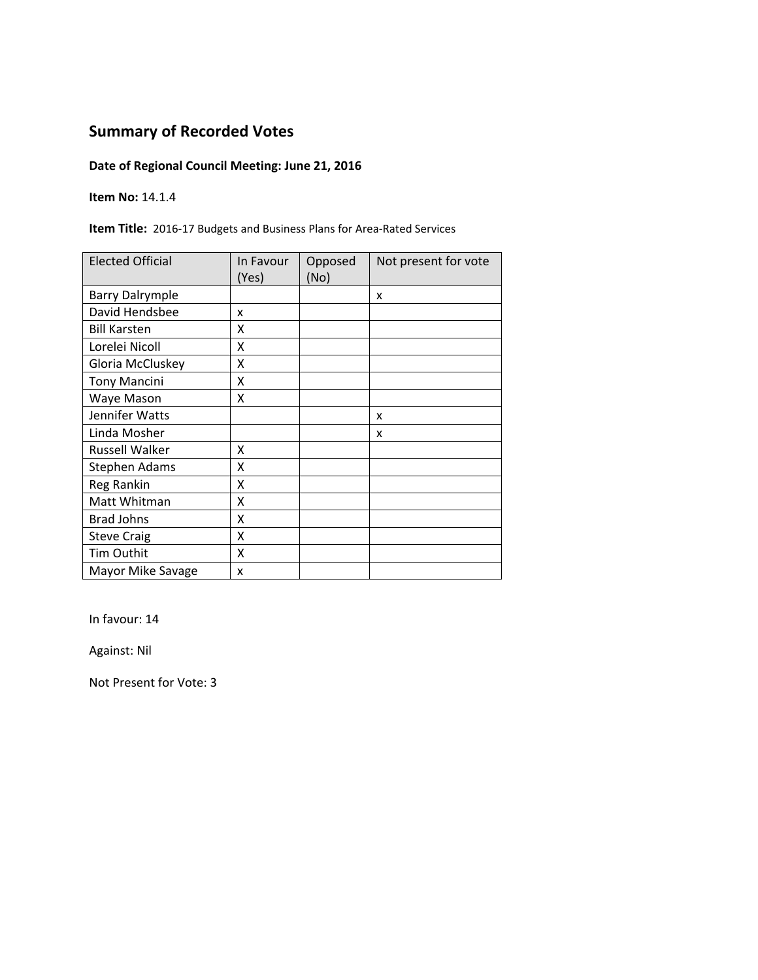### **Date of Regional Council Meeting: June 21, 2016**

**Item No:** 14.1.4

**Item Title:** 2016‐17 Budgets and Business Plans for Area‐Rated Services

| <b>Elected Official</b> | In Favour<br>(Yes) | Opposed<br>(No) | Not present for vote |
|-------------------------|--------------------|-----------------|----------------------|
| <b>Barry Dalrymple</b>  |                    |                 | X                    |
| David Hendsbee          | x                  |                 |                      |
| <b>Bill Karsten</b>     | x                  |                 |                      |
| Lorelei Nicoll          | X                  |                 |                      |
| Gloria McCluskey        | X                  |                 |                      |
| <b>Tony Mancini</b>     | Χ                  |                 |                      |
| Waye Mason              | Χ                  |                 |                      |
| Jennifer Watts          |                    |                 | X                    |
| Linda Mosher            |                    |                 | x                    |
| <b>Russell Walker</b>   | X                  |                 |                      |
| Stephen Adams           | X                  |                 |                      |
| Reg Rankin              | χ                  |                 |                      |
| Matt Whitman            | X                  |                 |                      |
| <b>Brad Johns</b>       | Χ                  |                 |                      |
| <b>Steve Craig</b>      | Χ                  |                 |                      |
| Tim Outhit              | X                  |                 |                      |
| Mayor Mike Savage       | x                  |                 |                      |

In favour: 14

Against: Nil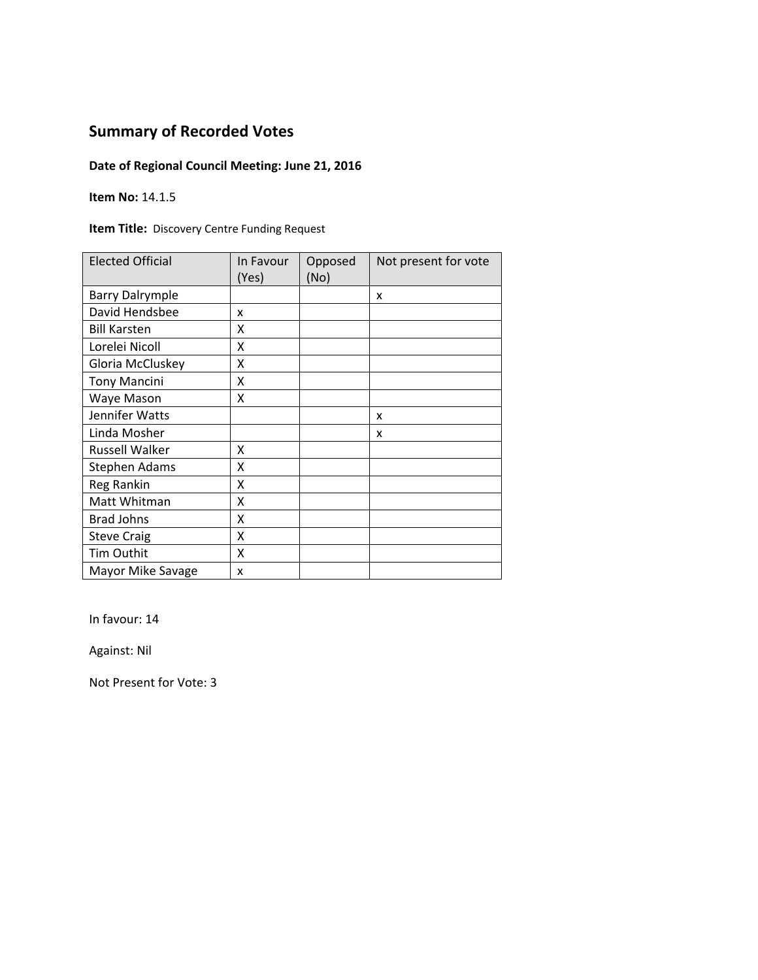### **Date of Regional Council Meeting: June 21, 2016**

**Item No:** 14.1.5

**Item Title:** Discovery Centre Funding Request

| <b>Elected Official</b> | In Favour<br>(Yes) | Opposed<br>(No) | Not present for vote |
|-------------------------|--------------------|-----------------|----------------------|
| <b>Barry Dalrymple</b>  |                    |                 | x                    |
| David Hendsbee          | x                  |                 |                      |
| <b>Bill Karsten</b>     | x                  |                 |                      |
| Lorelei Nicoll          | X                  |                 |                      |
| Gloria McCluskey        | Χ                  |                 |                      |
| <b>Tony Mancini</b>     | x                  |                 |                      |
| Waye Mason              | Χ                  |                 |                      |
| Jennifer Watts          |                    |                 | X                    |
| Linda Mosher            |                    |                 | x                    |
| <b>Russell Walker</b>   | x                  |                 |                      |
| <b>Stephen Adams</b>    | X                  |                 |                      |
| <b>Reg Rankin</b>       | Χ                  |                 |                      |
| Matt Whitman            | X                  |                 |                      |
| <b>Brad Johns</b>       | Χ                  |                 |                      |
| <b>Steve Craig</b>      | X                  |                 |                      |
| Tim Outhit              | X                  |                 |                      |
| Mayor Mike Savage       | x                  |                 |                      |

In favour: 14

Against: Nil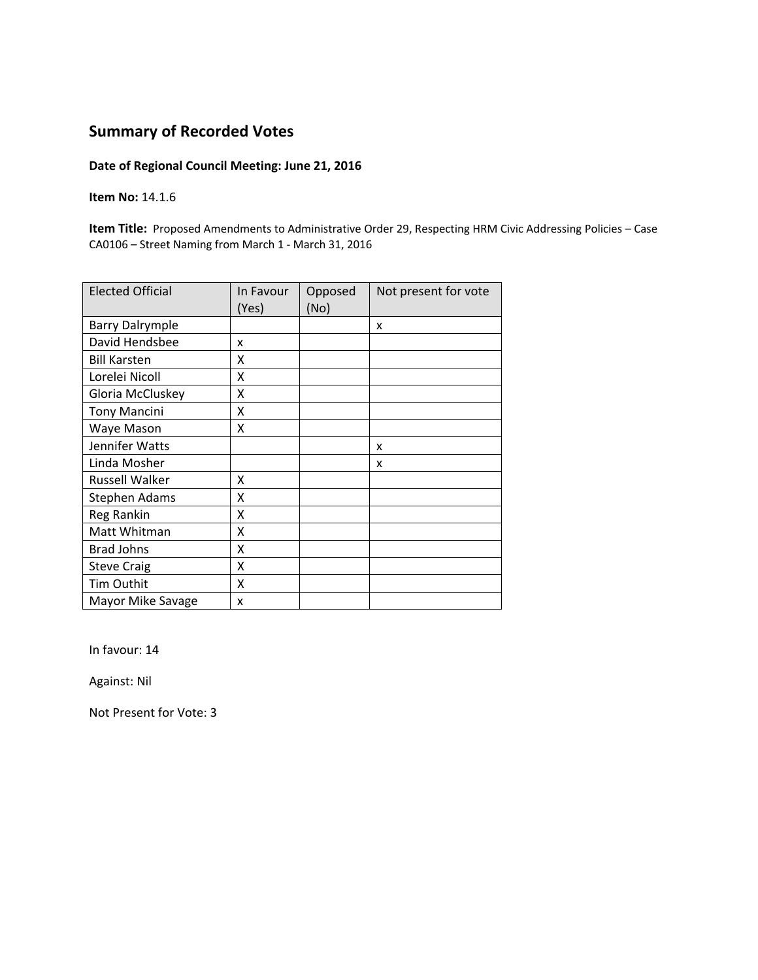#### **Date of Regional Council Meeting: June 21, 2016**

**Item No:** 14.1.6

**Item Title:** Proposed Amendments to Administrative Order 29, Respecting HRM Civic Addressing Policies – Case CA0106 – Street Naming from March 1 ‐ March 31, 2016

| <b>Elected Official</b> | In Favour<br>(Yes) | Opposed<br>(No) | Not present for vote |
|-------------------------|--------------------|-----------------|----------------------|
| <b>Barry Dalrymple</b>  |                    |                 | X                    |
| David Hendsbee          | x                  |                 |                      |
| <b>Bill Karsten</b>     | x                  |                 |                      |
| Lorelei Nicoll          | x                  |                 |                      |
| Gloria McCluskey        | Χ                  |                 |                      |
| <b>Tony Mancini</b>     | x                  |                 |                      |
| Waye Mason              | x                  |                 |                      |
| Jennifer Watts          |                    |                 | x                    |
| Linda Mosher            |                    |                 | x                    |
| <b>Russell Walker</b>   | X                  |                 |                      |
| Stephen Adams           | X                  |                 |                      |
| Reg Rankin              | X                  |                 |                      |
| Matt Whitman            | X                  |                 |                      |
| <b>Brad Johns</b>       | x                  |                 |                      |
| <b>Steve Craig</b>      | x                  |                 |                      |
| <b>Tim Outhit</b>       | X                  |                 |                      |
| Mayor Mike Savage       | x                  |                 |                      |

In favour: 14

Against: Nil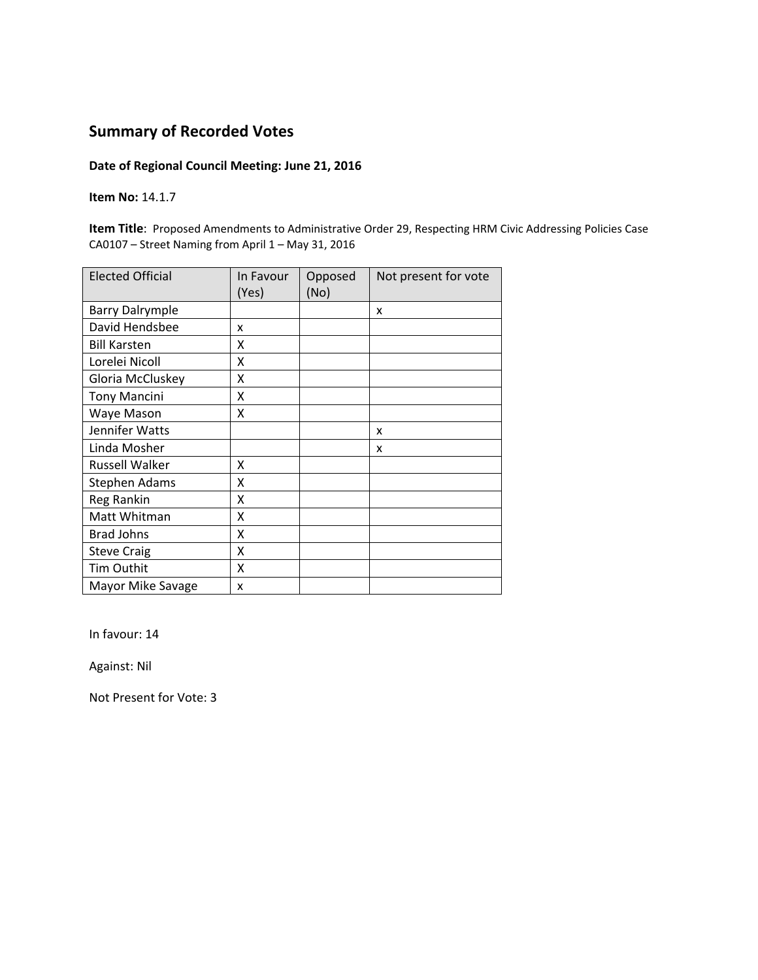#### **Date of Regional Council Meeting: June 21, 2016**

**Item No:** 14.1.7

**Item Title**: Proposed Amendments to Administrative Order 29, Respecting HRM Civic Addressing Policies Case CA0107 – Street Naming from April 1 – May 31, 2016

| <b>Elected Official</b> | In Favour<br>(Yes) | Opposed<br>(No) | Not present for vote |
|-------------------------|--------------------|-----------------|----------------------|
| <b>Barry Dalrymple</b>  |                    |                 | X                    |
| David Hendsbee          | x                  |                 |                      |
| <b>Bill Karsten</b>     | x                  |                 |                      |
| Lorelei Nicoll          | x                  |                 |                      |
| Gloria McCluskey        | X                  |                 |                      |
| <b>Tony Mancini</b>     | Χ                  |                 |                      |
| Waye Mason              | X                  |                 |                      |
| Jennifer Watts          |                    |                 | x                    |
| Linda Mosher            |                    |                 | x                    |
| <b>Russell Walker</b>   | X                  |                 |                      |
| <b>Stephen Adams</b>    | X                  |                 |                      |
| Reg Rankin              | X                  |                 |                      |
| Matt Whitman            | X                  |                 |                      |
| <b>Brad Johns</b>       | x                  |                 |                      |
| <b>Steve Craig</b>      | Χ                  |                 |                      |
| Tim Outhit              | X                  |                 |                      |
| Mayor Mike Savage       | x                  |                 |                      |

In favour: 14

Against: Nil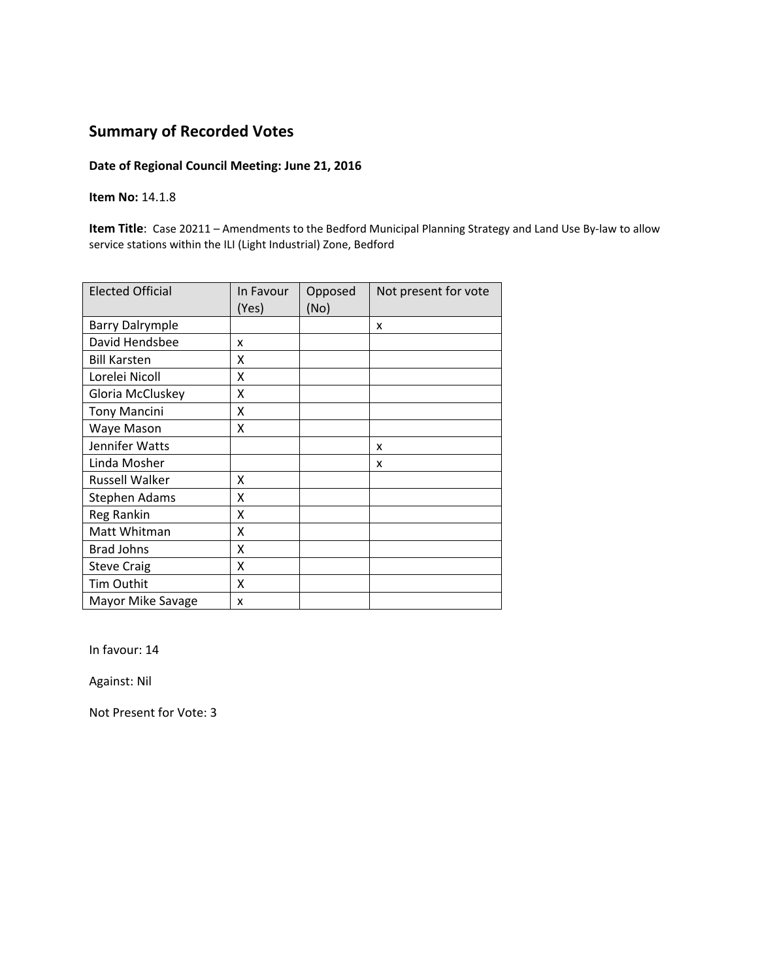#### **Date of Regional Council Meeting: June 21, 2016**

**Item No:** 14.1.8

**Item Title**: Case 20211 – Amendments to the Bedford Municipal Planning Strategy and Land Use By‐law to allow service stations within the ILI (Light Industrial) Zone, Bedford

| <b>Elected Official</b> | In Favour<br>(Yes) | Opposed<br>(No) | Not present for vote |
|-------------------------|--------------------|-----------------|----------------------|
| <b>Barry Dalrymple</b>  |                    |                 | x                    |
| David Hendsbee          | x                  |                 |                      |
| <b>Bill Karsten</b>     | X                  |                 |                      |
| Lorelei Nicoll          | X                  |                 |                      |
| Gloria McCluskey        | Χ                  |                 |                      |
| <b>Tony Mancini</b>     | X                  |                 |                      |
| Waye Mason              | x                  |                 |                      |
| Jennifer Watts          |                    |                 | x                    |
| Linda Mosher            |                    |                 | x                    |
| Russell Walker          | x                  |                 |                      |
| <b>Stephen Adams</b>    | X                  |                 |                      |
| Reg Rankin              | X                  |                 |                      |
| Matt Whitman            | X                  |                 |                      |
| <b>Brad Johns</b>       | X                  |                 |                      |
| <b>Steve Craig</b>      | X                  |                 |                      |
| Tim Outhit              | X                  |                 |                      |
| Mayor Mike Savage       | x                  |                 |                      |

In favour: 14

Against: Nil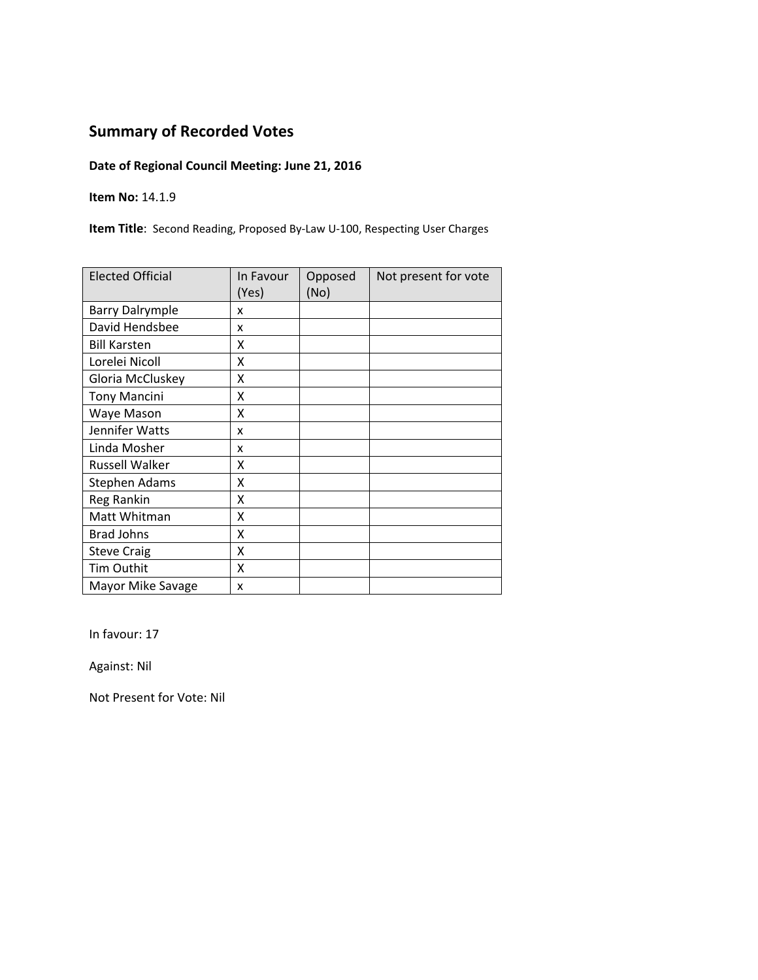### **Date of Regional Council Meeting: June 21, 2016**

**Item No:** 14.1.9

**Item Title**: Second Reading, Proposed By‐Law U‐100, Respecting User Charges

| <b>Elected Official</b> | In Favour<br>(Yes) | Opposed<br>(No) | Not present for vote |
|-------------------------|--------------------|-----------------|----------------------|
| <b>Barry Dalrymple</b>  | x                  |                 |                      |
| David Hendsbee          | x                  |                 |                      |
| <b>Bill Karsten</b>     | x                  |                 |                      |
| Lorelei Nicoll          | X                  |                 |                      |
| Gloria McCluskey        | X                  |                 |                      |
| <b>Tony Mancini</b>     | X                  |                 |                      |
| Waye Mason              | Χ                  |                 |                      |
| Jennifer Watts          | x                  |                 |                      |
| Linda Mosher            | x                  |                 |                      |
| <b>Russell Walker</b>   | χ                  |                 |                      |
| <b>Stephen Adams</b>    | X                  |                 |                      |
| Reg Rankin              | Χ                  |                 |                      |
| Matt Whitman            | Χ                  |                 |                      |
| <b>Brad Johns</b>       | X                  |                 |                      |
| <b>Steve Craig</b>      | Χ                  |                 |                      |
| Tim Outhit              | X                  |                 |                      |
| Mayor Mike Savage       | x                  |                 |                      |

In favour: 17

Against: Nil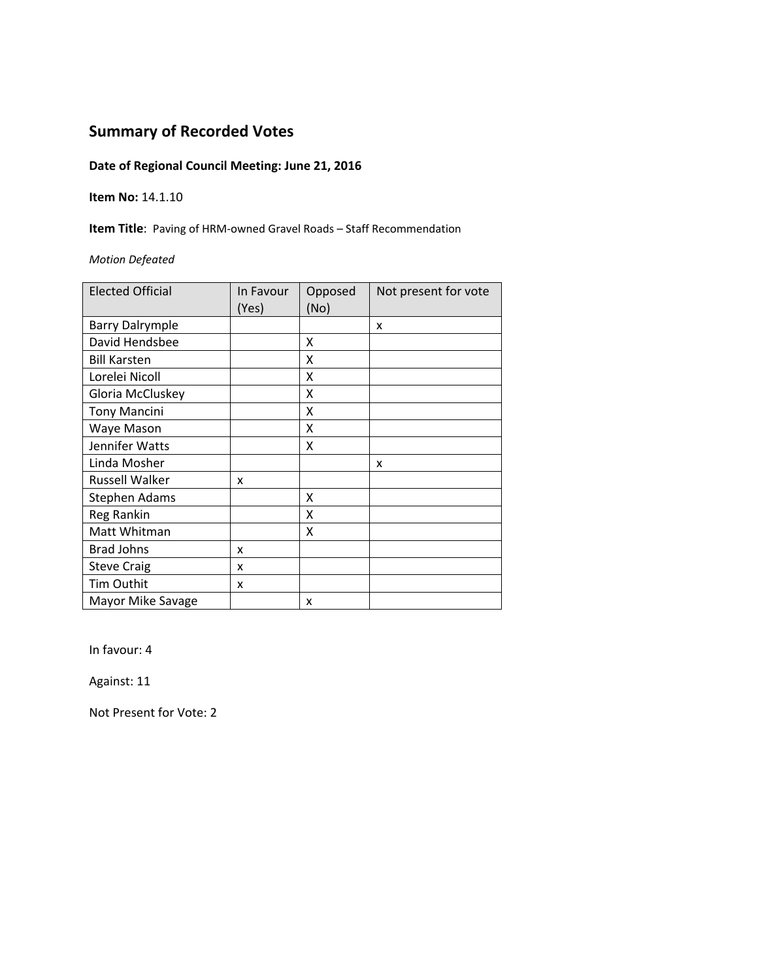### **Date of Regional Council Meeting: June 21, 2016**

#### **Item No:** 14.1.10

**Item Title**: Paving of HRM‐owned Gravel Roads – Staff Recommendation

*Motion Defeated*

| <b>Elected Official</b> | In Favour<br>(Yes) | Opposed<br>(No) | Not present for vote |
|-------------------------|--------------------|-----------------|----------------------|
| <b>Barry Dalrymple</b>  |                    |                 | x                    |
| David Hendsbee          |                    | X               |                      |
| <b>Bill Karsten</b>     |                    | X               |                      |
| Lorelei Nicoll          |                    | X               |                      |
| Gloria McCluskey        |                    | X               |                      |
| <b>Tony Mancini</b>     |                    | X               |                      |
| Waye Mason              |                    | x               |                      |
| Jennifer Watts          |                    | Χ               |                      |
| Linda Mosher            |                    |                 | x                    |
| <b>Russell Walker</b>   | x                  |                 |                      |
| <b>Stephen Adams</b>    |                    | x               |                      |
| Reg Rankin              |                    | x               |                      |
| Matt Whitman            |                    | x               |                      |
| <b>Brad Johns</b>       | x                  |                 |                      |
| <b>Steve Craig</b>      | x                  |                 |                      |
| Tim Outhit              | x                  |                 |                      |
| Mayor Mike Savage       |                    | x               |                      |

In favour: 4

Against: 11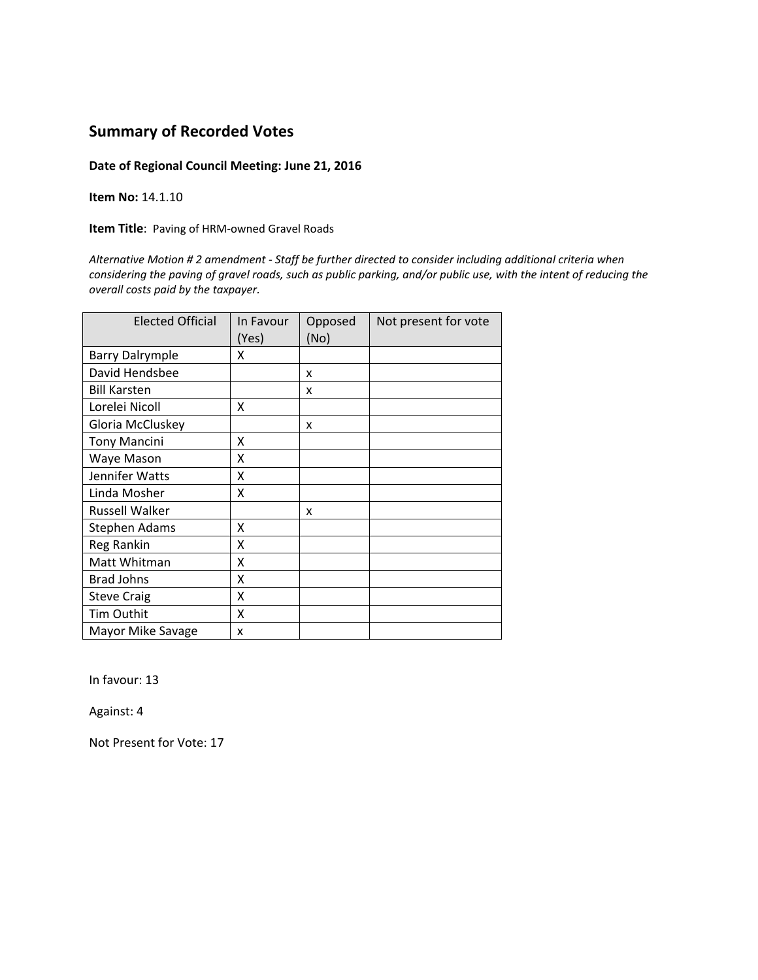**Date of Regional Council Meeting: June 21, 2016**

**Item No:** 14.1.10

**Item Title**: Paving of HRM‐owned Gravel Roads

*Alternative Motion # 2 amendment ‐ Staff be further directed to consider including additional criteria when* considering the paving of gravel roads, such as public parking, and/or public use, with the intent of reducing the *overall costs paid by the taxpayer.*

| <b>Elected Official</b> | In Favour<br>(Yes) | Opposed<br>(No) | Not present for vote |
|-------------------------|--------------------|-----------------|----------------------|
| <b>Barry Dalrymple</b>  | x                  |                 |                      |
| David Hendsbee          |                    | x               |                      |
| <b>Bill Karsten</b>     |                    | x               |                      |
| Lorelei Nicoll          | x                  |                 |                      |
| Gloria McCluskey        |                    | x               |                      |
| <b>Tony Mancini</b>     | x                  |                 |                      |
| Waye Mason              | x                  |                 |                      |
| Jennifer Watts          | X                  |                 |                      |
| Linda Mosher            | X                  |                 |                      |
| <b>Russell Walker</b>   |                    | x               |                      |
| Stephen Adams           | X                  |                 |                      |
| Reg Rankin              | X                  |                 |                      |
| Matt Whitman            | x                  |                 |                      |
| <b>Brad Johns</b>       | x                  |                 |                      |
| <b>Steve Craig</b>      | X                  |                 |                      |
| Tim Outhit              | x                  |                 |                      |
| Mayor Mike Savage       | x                  |                 |                      |

In favour: 13

Against: 4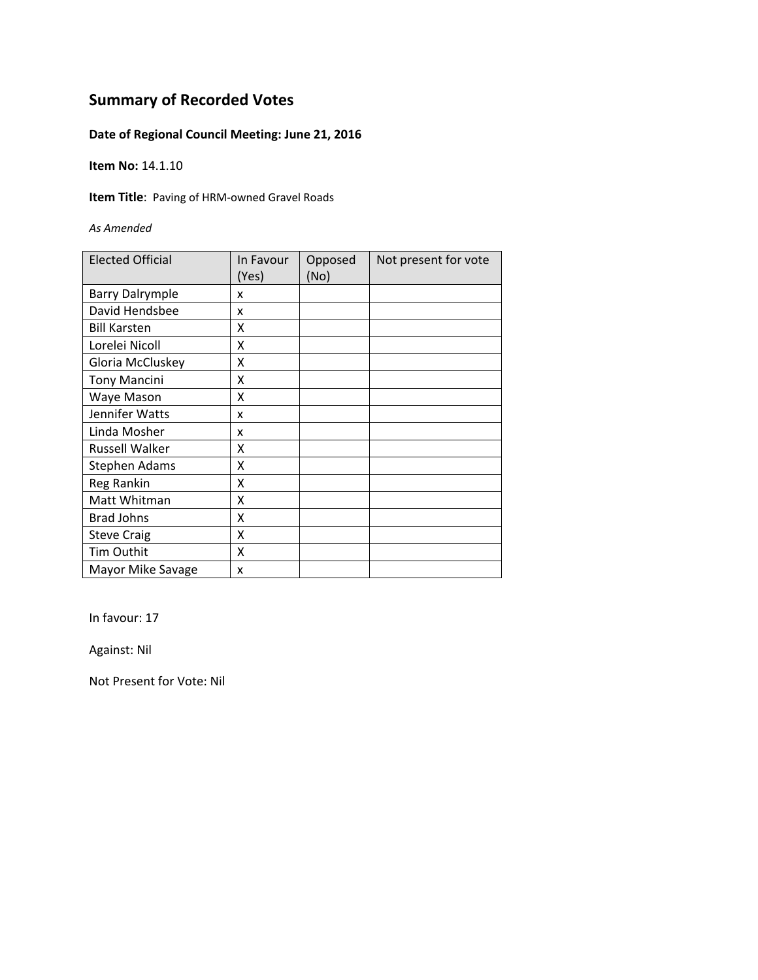### **Date of Regional Council Meeting: June 21, 2016**

**Item No:** 14.1.10

**Item Title**: Paving of HRM‐owned Gravel Roads

*As Amended*

| <b>Elected Official</b> | In Favour<br>(Yes) | Opposed<br>(No) | Not present for vote |
|-------------------------|--------------------|-----------------|----------------------|
| <b>Barry Dalrymple</b>  | x                  |                 |                      |
| David Hendsbee          | x                  |                 |                      |
| <b>Bill Karsten</b>     | χ                  |                 |                      |
| Lorelei Nicoll          | Χ                  |                 |                      |
| Gloria McCluskey        | Χ                  |                 |                      |
| <b>Tony Mancini</b>     | Χ                  |                 |                      |
| Waye Mason              | X                  |                 |                      |
| Jennifer Watts          | x                  |                 |                      |
| Linda Mosher            | x                  |                 |                      |
| Russell Walker          | x                  |                 |                      |
| Stephen Adams           | X                  |                 |                      |
| Reg Rankin              | X                  |                 |                      |
| Matt Whitman            | X                  |                 |                      |
| <b>Brad Johns</b>       | X                  |                 |                      |
| <b>Steve Craig</b>      | X                  |                 |                      |
| <b>Tim Outhit</b>       | X                  |                 |                      |
| Mayor Mike Savage       | X                  |                 |                      |

In favour: 17

Against: Nil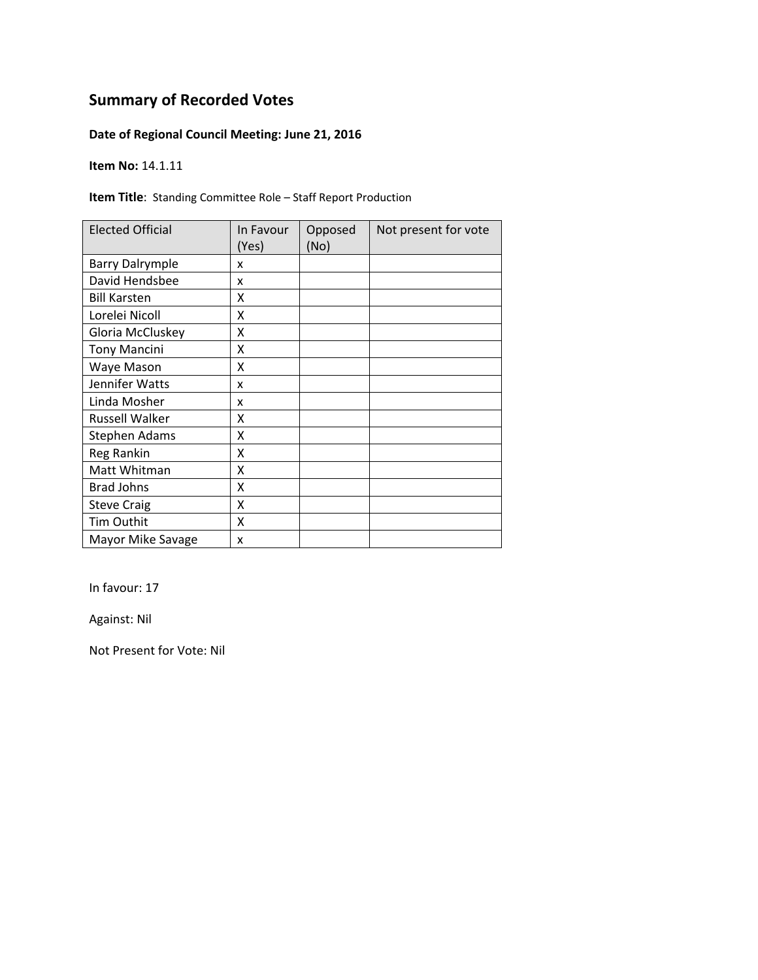### **Date of Regional Council Meeting: June 21, 2016**

**Item No:** 14.1.11

**Item Title**: Standing Committee Role – Staff Report Production

| <b>Elected Official</b> | In Favour<br>(Yes) | Opposed<br>(No) | Not present for vote |
|-------------------------|--------------------|-----------------|----------------------|
| <b>Barry Dalrymple</b>  | x                  |                 |                      |
| David Hendsbee          | x                  |                 |                      |
| <b>Bill Karsten</b>     | x                  |                 |                      |
| Lorelei Nicoll          | Χ                  |                 |                      |
| Gloria McCluskey        | Χ                  |                 |                      |
| <b>Tony Mancini</b>     | Χ                  |                 |                      |
| Waye Mason              | Χ                  |                 |                      |
| Jennifer Watts          | x                  |                 |                      |
| Linda Mosher            | x                  |                 |                      |
| <b>Russell Walker</b>   | х                  |                 |                      |
| Stephen Adams           | Χ                  |                 |                      |
| <b>Reg Rankin</b>       | Χ                  |                 |                      |
| Matt Whitman            | X                  |                 |                      |
| <b>Brad Johns</b>       | X                  |                 |                      |
| <b>Steve Craig</b>      | X                  |                 |                      |
| Tim Outhit              | X                  |                 |                      |
| Mayor Mike Savage       | x                  |                 |                      |

In favour: 17

Against: Nil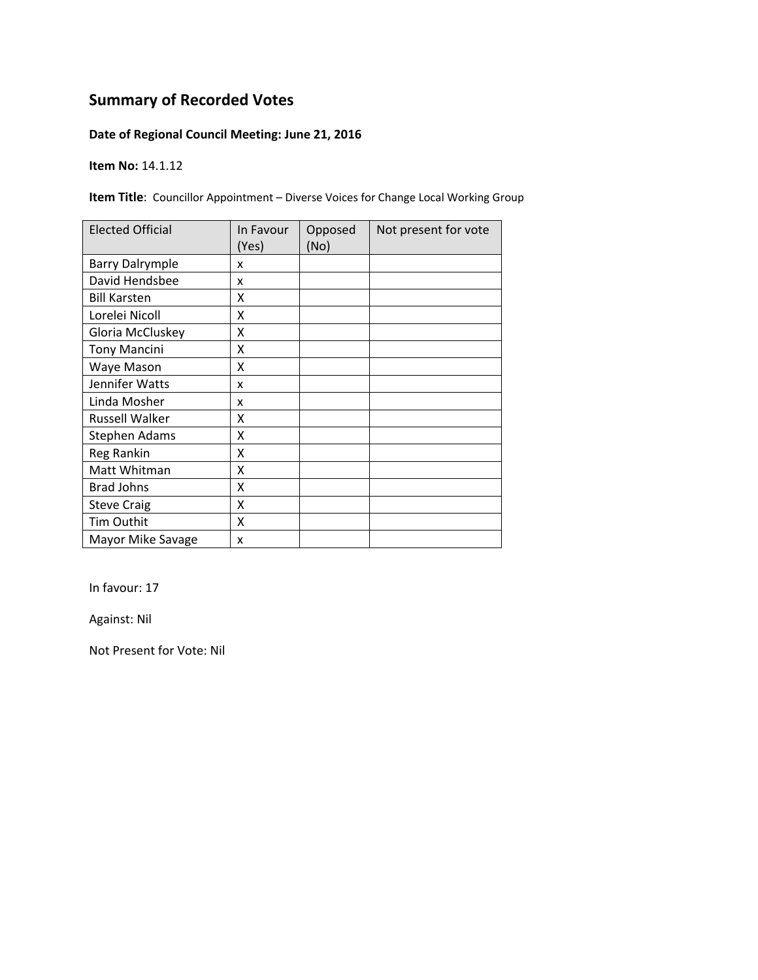### **Date of Regional Council Meeting: June 21, 2016**

**Item No:** 14.1.12

**Item Title**: Councillor Appointment – Diverse Voices for Change Local Working Group

| <b>Elected Official</b> | In Favour<br>(Yes) | Opposed<br>(No) | Not present for vote |
|-------------------------|--------------------|-----------------|----------------------|
| <b>Barry Dalrymple</b>  | x                  |                 |                      |
| David Hendsbee          | x                  |                 |                      |
| <b>Bill Karsten</b>     | χ                  |                 |                      |
| Lorelei Nicoll          | X                  |                 |                      |
| Gloria McCluskey        | Χ                  |                 |                      |
| <b>Tony Mancini</b>     | Χ                  |                 |                      |
| Waye Mason              | Χ                  |                 |                      |
| Jennifer Watts          | x                  |                 |                      |
| Linda Mosher            | x                  |                 |                      |
| <b>Russell Walker</b>   | x                  |                 |                      |
| <b>Stephen Adams</b>    | χ                  |                 |                      |
| Reg Rankin              | X                  |                 |                      |
| Matt Whitman            | Χ                  |                 |                      |
| <b>Brad Johns</b>       | X                  |                 |                      |
| <b>Steve Craig</b>      | X                  |                 |                      |
| Tim Outhit              | X                  |                 |                      |
| Mayor Mike Savage       | X                  |                 |                      |

In favour: 17

Against: Nil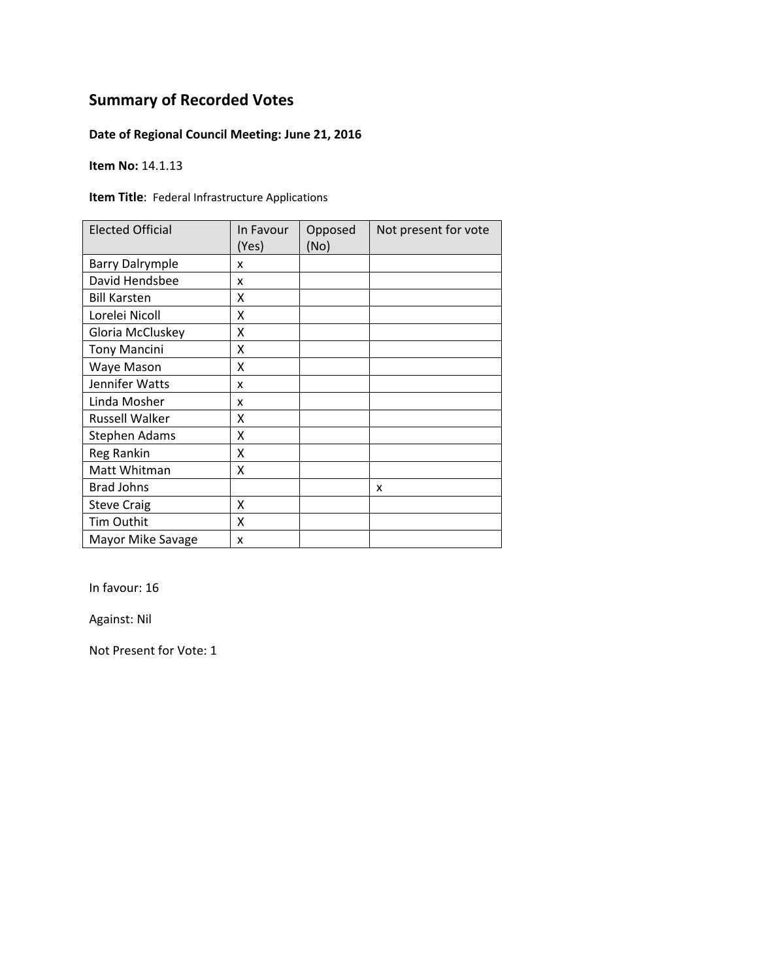### **Date of Regional Council Meeting: June 21, 2016**

**Item No:** 14.1.13

**Item Title**: Federal Infrastructure Applications

| <b>Elected Official</b> | In Favour<br>(Yes) | Opposed<br>(No) | Not present for vote |
|-------------------------|--------------------|-----------------|----------------------|
| <b>Barry Dalrymple</b>  | x                  |                 |                      |
| David Hendsbee          | x                  |                 |                      |
| <b>Bill Karsten</b>     | x                  |                 |                      |
| Lorelei Nicoll          | X                  |                 |                      |
| Gloria McCluskey        | X                  |                 |                      |
| <b>Tony Mancini</b>     | X                  |                 |                      |
| Waye Mason              | Χ                  |                 |                      |
| Jennifer Watts          | x                  |                 |                      |
| Linda Mosher            | x                  |                 |                      |
| <b>Russell Walker</b>   | x                  |                 |                      |
| <b>Stephen Adams</b>    | Χ                  |                 |                      |
| <b>Reg Rankin</b>       | Χ                  |                 |                      |
| Matt Whitman            | X                  |                 |                      |
| <b>Brad Johns</b>       |                    |                 | x                    |
| <b>Steve Craig</b>      | X                  |                 |                      |
| Tim Outhit              | X                  |                 |                      |
| Mayor Mike Savage       | X                  |                 |                      |

In favour: 16

Against: Nil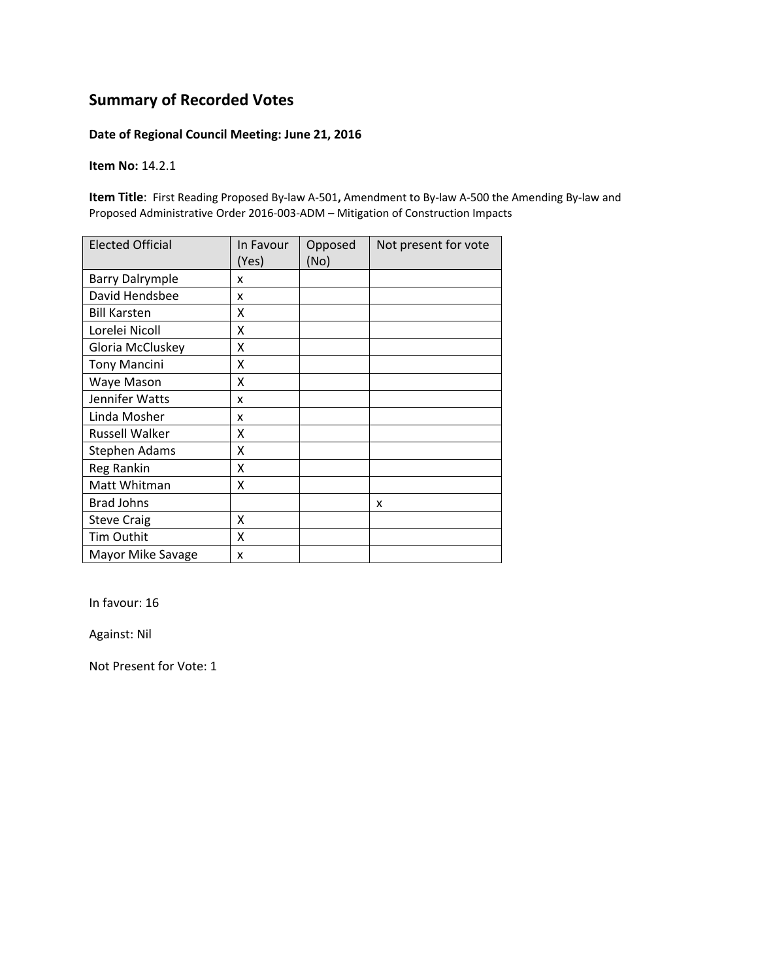#### **Date of Regional Council Meeting: June 21, 2016**

**Item No:** 14.2.1

**Item Title**: First Reading Proposed By‐law A‐501**,** Amendment to By‐law A‐500 the Amending By‐law and Proposed Administrative Order 2016‐003‐ADM – Mitigation of Construction Impacts

| <b>Elected Official</b> | In Favour<br>(Yes) | Opposed<br>(No) | Not present for vote |
|-------------------------|--------------------|-----------------|----------------------|
| <b>Barry Dalrymple</b>  | x                  |                 |                      |
| David Hendsbee          | x                  |                 |                      |
| <b>Bill Karsten</b>     | X                  |                 |                      |
| Lorelei Nicoll          | X                  |                 |                      |
| Gloria McCluskey        | Χ                  |                 |                      |
| <b>Tony Mancini</b>     | X                  |                 |                      |
| Waye Mason              | X                  |                 |                      |
| Jennifer Watts          | x                  |                 |                      |
| Linda Mosher            | x                  |                 |                      |
| <b>Russell Walker</b>   | Χ                  |                 |                      |
| Stephen Adams           | X                  |                 |                      |
| Reg Rankin              | X                  |                 |                      |
| Matt Whitman            | Χ                  |                 |                      |
| <b>Brad Johns</b>       |                    |                 | x                    |
| <b>Steve Craig</b>      | x                  |                 |                      |
| Tim Outhit              | X                  |                 |                      |
| Mayor Mike Savage       | x                  |                 |                      |

In favour: 16

Against: Nil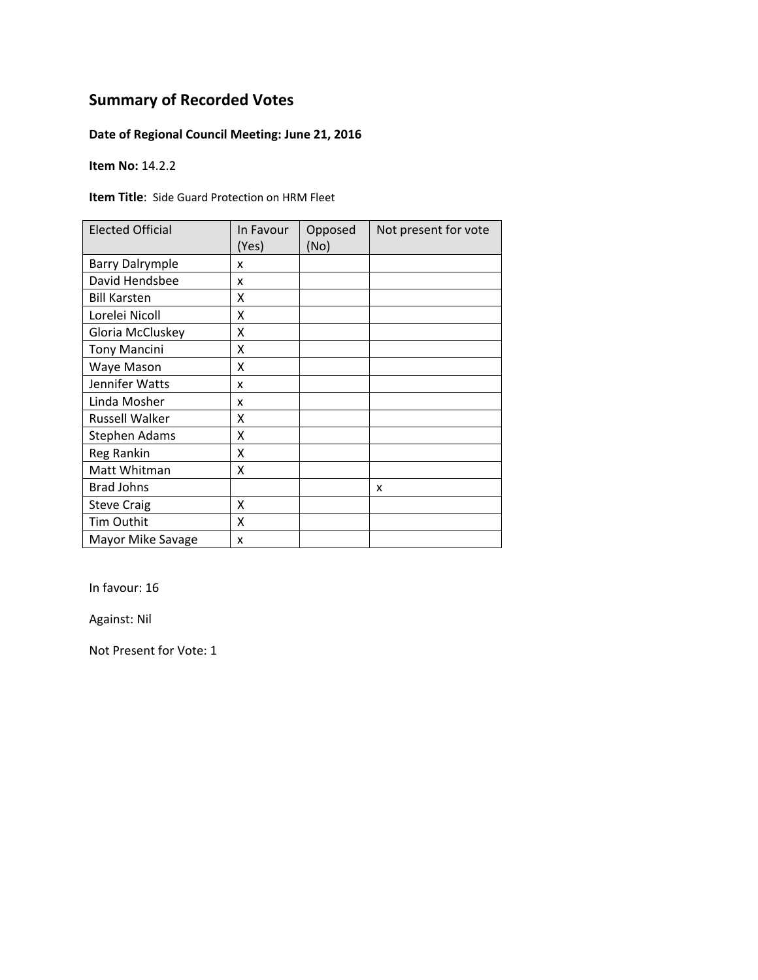### **Date of Regional Council Meeting: June 21, 2016**

**Item No:** 14.2.2

**Item Title**: Side Guard Protection on HRM Fleet

| <b>Elected Official</b> | In Favour<br>(Yes) | Opposed<br>(No) | Not present for vote |
|-------------------------|--------------------|-----------------|----------------------|
| <b>Barry Dalrymple</b>  | x                  |                 |                      |
| David Hendsbee          | x                  |                 |                      |
| <b>Bill Karsten</b>     | x                  |                 |                      |
| Lorelei Nicoll          | X                  |                 |                      |
| Gloria McCluskey        | X                  |                 |                      |
| <b>Tony Mancini</b>     | X                  |                 |                      |
| Waye Mason              | Χ                  |                 |                      |
| Jennifer Watts          | x                  |                 |                      |
| Linda Mosher            | x                  |                 |                      |
| <b>Russell Walker</b>   | x                  |                 |                      |
| <b>Stephen Adams</b>    | Χ                  |                 |                      |
| <b>Reg Rankin</b>       | Χ                  |                 |                      |
| Matt Whitman            | X                  |                 |                      |
| <b>Brad Johns</b>       |                    |                 | x                    |
| <b>Steve Craig</b>      | X                  |                 |                      |
| Tim Outhit              | X                  |                 |                      |
| Mayor Mike Savage       | X                  |                 |                      |

In favour: 16

Against: Nil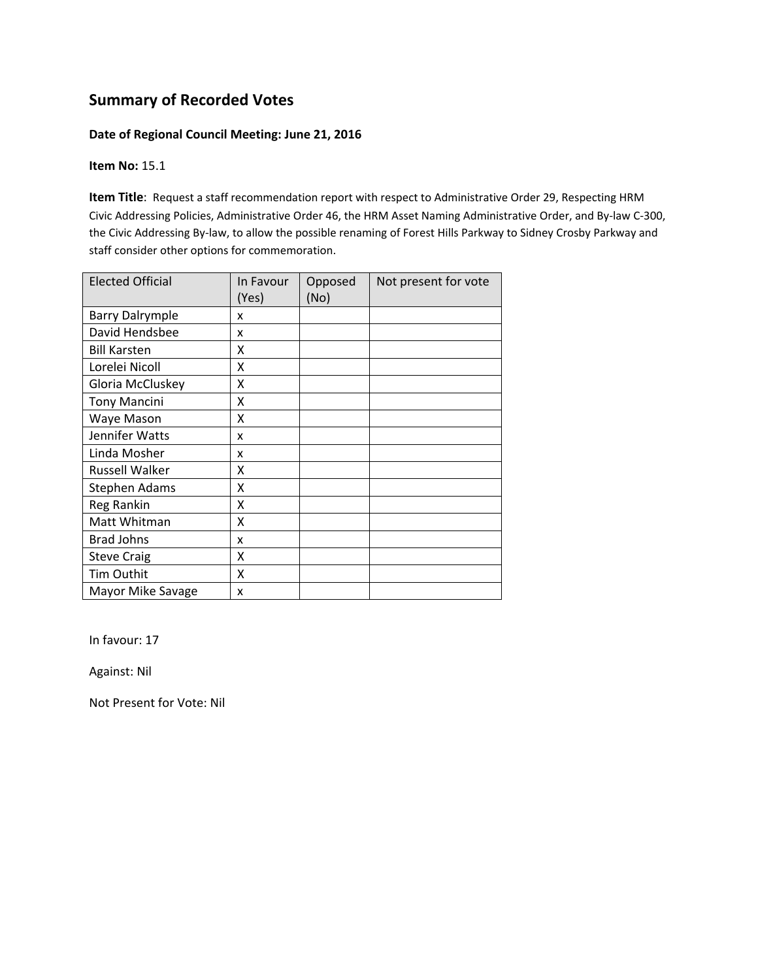#### **Date of Regional Council Meeting: June 21, 2016**

#### **Item No:** 15.1

**Item Title**: Request a staff recommendation report with respect to Administrative Order 29, Respecting HRM Civic Addressing Policies, Administrative Order 46, the HRM Asset Naming Administrative Order, and By‐law C‐300, the Civic Addressing By‐law, to allow the possible renaming of Forest Hills Parkway to Sidney Crosby Parkway and staff consider other options for commemoration.

| <b>Elected Official</b> | In Favour<br>(Yes) | Opposed<br>(No) | Not present for vote |
|-------------------------|--------------------|-----------------|----------------------|
| <b>Barry Dalrymple</b>  | x                  |                 |                      |
| David Hendsbee          | x                  |                 |                      |
| <b>Bill Karsten</b>     | x                  |                 |                      |
| Lorelei Nicoll          | X                  |                 |                      |
| Gloria McCluskey        | X                  |                 |                      |
| <b>Tony Mancini</b>     | X                  |                 |                      |
| Waye Mason              | χ                  |                 |                      |
| Jennifer Watts          | x                  |                 |                      |
| Linda Mosher            | x                  |                 |                      |
| Russell Walker          | χ                  |                 |                      |
| <b>Stephen Adams</b>    | Χ                  |                 |                      |
| Reg Rankin              | Χ                  |                 |                      |
| Matt Whitman            | Χ                  |                 |                      |
| <b>Brad Johns</b>       | x                  |                 |                      |
| <b>Steve Craig</b>      | X                  |                 |                      |
| Tim Outhit              | X                  |                 |                      |
| Mayor Mike Savage       | x                  |                 |                      |

In favour: 17

Against: Nil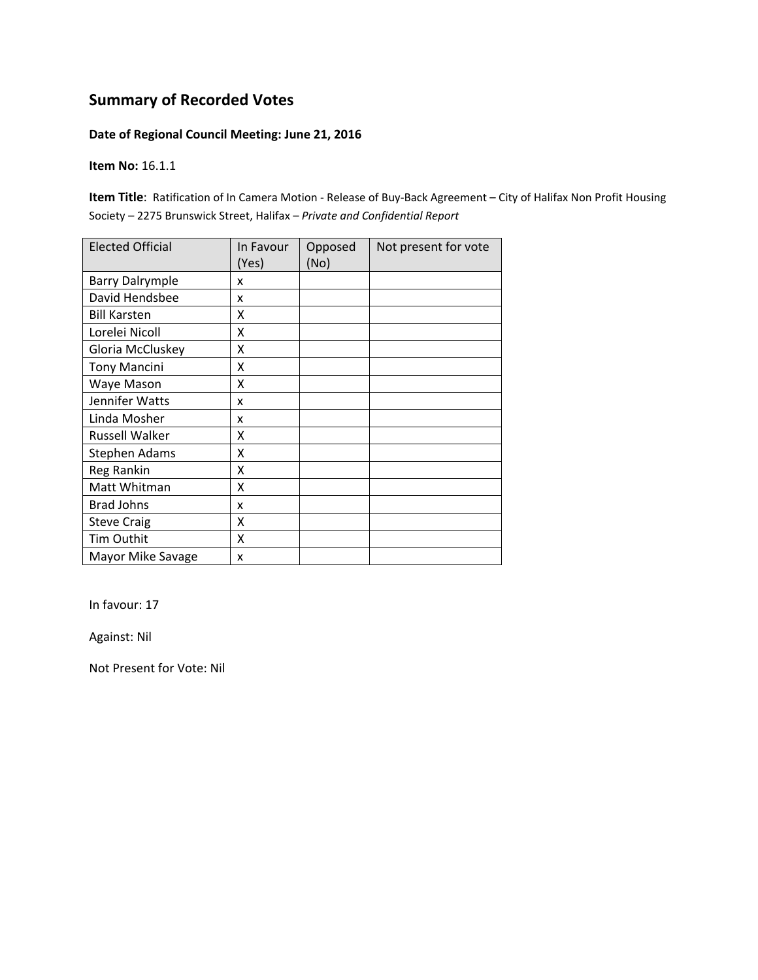#### **Date of Regional Council Meeting: June 21, 2016**

**Item No:** 16.1.1

**Item Title**: Ratification of In Camera Motion ‐ Release of Buy‐Back Agreement – City of Halifax Non Profit Housing Society – 2275 Brunswick Street, Halifax – *Private and Confidential Report*

| <b>Elected Official</b> | In Favour<br>(Yes) | Opposed<br>(No) | Not present for vote |
|-------------------------|--------------------|-----------------|----------------------|
| <b>Barry Dalrymple</b>  | x                  |                 |                      |
| David Hendsbee          | x                  |                 |                      |
| <b>Bill Karsten</b>     | x                  |                 |                      |
| Lorelei Nicoll          | Χ                  |                 |                      |
| Gloria McCluskey        | Χ                  |                 |                      |
| <b>Tony Mancini</b>     | X                  |                 |                      |
| Waye Mason              | X                  |                 |                      |
| Jennifer Watts          | x                  |                 |                      |
| Linda Mosher            | x                  |                 |                      |
| Russell Walker          | x                  |                 |                      |
| <b>Stephen Adams</b>    | x                  |                 |                      |
| Reg Rankin              | Χ                  |                 |                      |
| Matt Whitman            | Χ                  |                 |                      |
| <b>Brad Johns</b>       | x                  |                 |                      |
| <b>Steve Craig</b>      | Χ                  |                 |                      |
| Tim Outhit              | X                  |                 |                      |
| Mayor Mike Savage       | x                  |                 |                      |

In favour: 17

Against: Nil